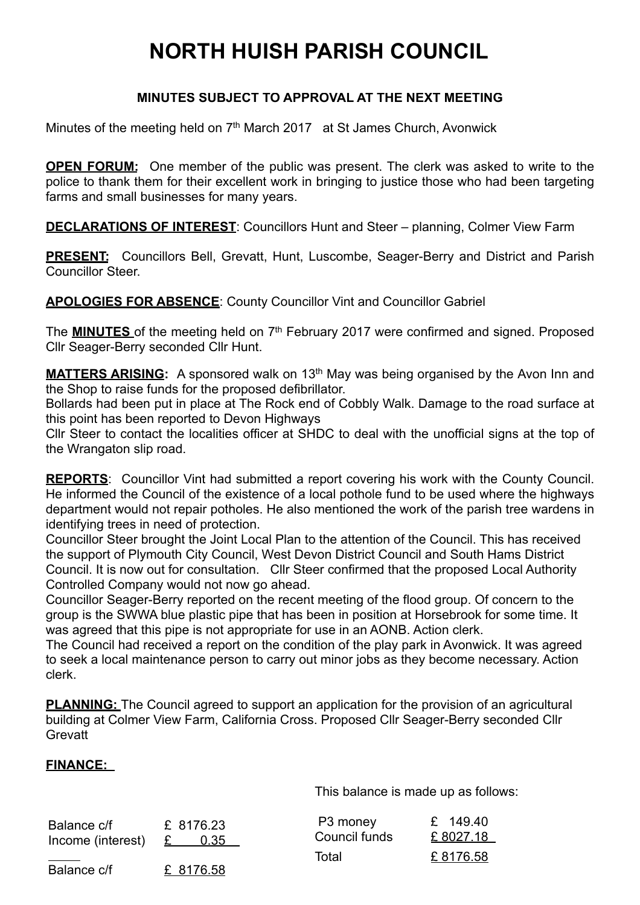## **NORTH HUISH PARISH COUNCIL**

## **MINUTES SUBJECT TO APPROVAL AT THE NEXT MEETING**

Minutes of the meeting held on 7<sup>th</sup> March 2017 at St James Church, Avonwick

**OPEN FORUM:** One member of the public was present. The clerk was asked to write to the police to thank them for their excellent work in bringing to justice those who had been targeting farms and small businesses for many years.

**DECLARATIONS OF INTEREST**: Councillors Hunt and Steer – planning, Colmer View Farm

**PRESENT:** Councillors Bell, Grevatt, Hunt, Luscombe, Seager-Berry and District and Parish Councillor Steer.

**APOLOGIES FOR ABSENCE**: County Councillor Vint and Councillor Gabriel

The **MINUTES** of the meeting held on 7<sup>th</sup> February 2017 were confirmed and signed. Proposed Cllr Seager-Berry seconded Cllr Hunt.

**MATTERS ARISING:** A sponsored walk on 13<sup>th</sup> May was being organised by the Avon Inn and the Shop to raise funds for the proposed defibrillator.

Bollards had been put in place at The Rock end of Cobbly Walk. Damage to the road surface at this point has been reported to Devon Highways

Cllr Steer to contact the localities officer at SHDC to deal with the unofficial signs at the top of the Wrangaton slip road.

**REPORTS:** Councillor Vint had submitted a report covering his work with the County Council. He informed the Council of the existence of a local pothole fund to be used where the highways department would not repair potholes. He also mentioned the work of the parish tree wardens in identifying trees in need of protection.

Councillor Steer brought the Joint Local Plan to the attention of the Council. This has received the support of Plymouth City Council, West Devon District Council and South Hams District Council. It is now out for consultation. Cllr Steer confirmed that the proposed Local Authority Controlled Company would not now go ahead.

Councillor Seager-Berry reported on the recent meeting of the flood group. Of concern to the group is the SWWA blue plastic pipe that has been in position at Horsebrook for some time. It was agreed that this pipe is not appropriate for use in an AONB. Action clerk.

The Council had received a report on the condition of the play park in Avonwick. It was agreed to seek a local maintenance person to carry out minor jobs as they become necessary. Action clerk.

**PLANNING:** The Council agreed to support an application for the provision of an agricultural building at Colmer View Farm, California Cross. Proposed Cllr Seager-Berry seconded Cllr **Grevatt** 

## **FINANCE:**

This balance is made up as follows:

| Balance c/f<br>Income (interest) | £ 8176.23<br>0.35<br>£ | P3 money<br>Council funds | £ 149.40<br>£8027.18 |
|----------------------------------|------------------------|---------------------------|----------------------|
|                                  |                        | Total                     | £8176.58             |
| Balance c/f                      | £ 8176.58              |                           |                      |